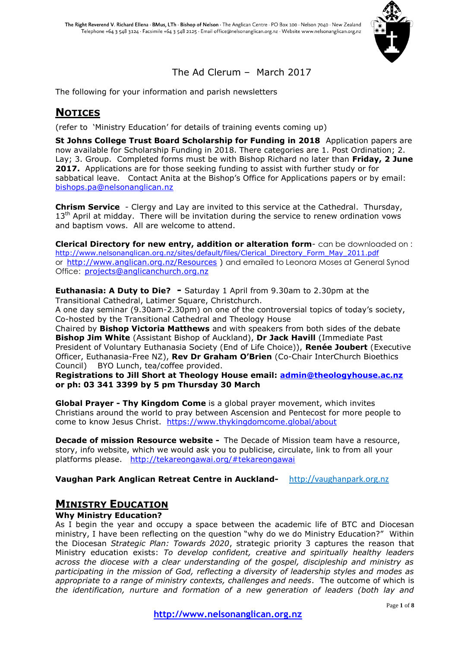

## The Ad Clerum – March 2017

The following for your information and parish newsletters

## **NOTICES**

(refer to 'Ministry Education' for details of training events coming up)

**St Johns College Trust Board Scholarship for Funding in 2018** Application papers are now available for Scholarship Funding in 2018. There categories are 1. Post Ordination; 2. Lay; 3. Group. Completed forms must be with Bishop Richard no later than **Friday, 2 June 2017.** Applications are for those seeking funding to assist with further study or for sabbatical leave. Contact Anita at the Bishop's Office for Applications papers or by email: [bishops.pa@nelsonanglican.nz](mailto:bishops.pa@nelsonanglican.nz)

**Chrism Service** - Clergy and Lay are invited to this service at the Cathedral. Thursday,  $13<sup>th</sup>$  April at midday. There will be invitation during the service to renew ordination vows and baptism vows. All are welcome to attend.

**Clerical Directory for new entry, addition or alteration form**- can be downloaded on : [http://www.nelsonanglican.org.nz/sites/default/files/Clerical\\_Directory\\_Form\\_May\\_2011.pdf](http://www.nelsonanglican.org.nz/sites/default/files/Clerical_Directory_Form_May_2011.pdf) or <http://www.anglican.org.nz/Resources> ) and emailed to Leonora Moses at General Synod Office: [projects@anglicanchurch.org.nz](mailto:projects@anglicanchurch.org.nz) 

**Euthanasia: A Duty to Die? -** Saturday 1 April from 9.30am to 2.30pm at the Transitional Cathedral, Latimer Square, Christchurch.

A one day seminar (9.30am-2.30pm) on one of the controversial topics of today's society, Co-hosted by the Transitional Cathedral and Theology House

Chaired by **Bishop Victoria Matthews** and with speakers from both sides of the debate **Bishop Jim White** (Assistant Bishop of Auckland), **Dr Jack Havill** (Immediate Past President of Voluntary Euthanasia Society (End of Life Choice)), **Renée Joubert** (Executive Officer, Euthanasia-Free NZ), **Rev Dr Graham O'Brien** (Co-Chair InterChurch Bioethics Council) BYO Lunch, tea/coffee provided.

**Registrations to Jill Short at Theology House email: [admin@theologyhouse.ac.nz](mailto:admin@theologyhouse.ac.nz) or ph: 03 341 3399 by 5 pm Thursday 30 March**

**Global Prayer - Thy Kingdom Come** is a global prayer movement, which invites Christians around the world to pray between Ascension and Pentecost for more people to come to know Jesus Christ. <https://www.thykingdomcome.global/about>

**Decade of mission Resource website -** The Decade of Mission team have a resource, story, info website, which we would ask you to publicise, circulate, link to from all your platforms please. <http://tekareongawai.org/#tekareongawai>

**Vaughan Park Anglican Retreat Centre in Auckland-** [http://vaughanpark.org.nz](http://vaughanpark.org.nz/)

### **MINISTRY EDUCATION**

### **Why Ministry Education?**

As I begin the year and occupy a space between the academic life of BTC and Diocesan ministry, I have been reflecting on the question "why do we do Ministry Education?" Within the Diocesan *Strategic Plan: Towards 2020*, strategic priority 3 captures the reason that Ministry education exists: *To develop confident, creative and spiritually healthy leaders across the diocese with a clear understanding of the gospel, discipleship and ministry as participating in the mission of God, reflecting a diversity of leadership styles and modes as appropriate to a range of ministry contexts, challenges and needs*. The outcome of which is *the identification, nurture and formation of a new generation of leaders (both lay and*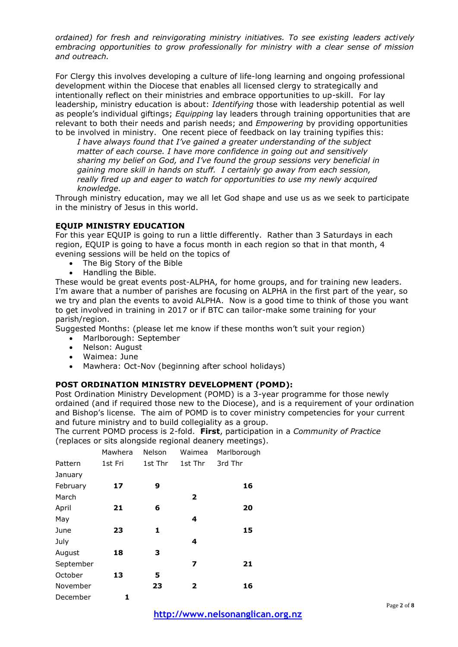*ordained) for fresh and reinvigorating ministry initiatives. To see existing leaders actively embracing opportunities to grow professionally for ministry with a clear sense of mission and outreach.*

For Clergy this involves developing a culture of life-long learning and ongoing professional development within the Diocese that enables all licensed clergy to strategically and intentionally reflect on their ministries and embrace opportunities to up-skill. For lay leadership, ministry education is about: *Identifying* those with leadership potential as well as people's individual giftings; *Equipping* lay leaders through training opportunities that are relevant to both their needs and parish needs; and *Empowering* by providing opportunities to be involved in ministry. One recent piece of feedback on lay training typifies this:

*I have always found that I've gained a greater understanding of the subject matter of each course. I have more confidence in going out and sensitively sharing my belief on God, and I've found the group sessions very beneficial in gaining more skill in hands on stuff. I certainly go away from each session, really fired up and eager to watch for opportunities to use my newly acquired knowledge.*

Through ministry education, may we all let God shape and use us as we seek to participate in the ministry of Jesus in this world.

### **EQUIP MINISTRY EDUCATION**

For this year EQUIP is going to run a little differently. Rather than 3 Saturdays in each region, EQUIP is going to have a focus month in each region so that in that month, 4 evening sessions will be held on the topics of

- The Big Story of the Bible
- Handling the Bible.

These would be great events post-ALPHA, for home groups, and for training new leaders. I'm aware that a number of parishes are focusing on ALPHA in the first part of the year, so we try and plan the events to avoid ALPHA. Now is a good time to think of those you want to get involved in training in 2017 or if BTC can tailor-make some training for your parish/region.

Suggested Months: (please let me know if these months won't suit your region)

- Marlborough: September
- Nelson: August
- Waimea: June
- Mawhera: Oct-Nov (beginning after school holidays)

### **POST ORDINATION MINISTRY DEVELOPMENT (POMD):**

Post Ordination Ministry Development (POMD) is a 3-year programme for those newly ordained (and if required those new to the Diocese), and is a requirement of your ordination and Bishop's license. The aim of POMD is to cover ministry competencies for your current and future ministry and to build collegiality as a group.

The current POMD process is 2-fold. **First**, participation in a *Community of Practice* (replaces or sits alongside regional deanery meetings).

|           | Mawhera | Nelson  | Waimea         | Marlborough |
|-----------|---------|---------|----------------|-------------|
| Pattern   | 1st Fri | 1st Thr | 1st Thr        | 3rd Thr     |
| January   |         |         |                |             |
| February  | 17      | 9       |                | 16          |
| March     |         |         | $\overline{2}$ |             |
| April     | 21      | 6       |                | 20          |
| May       |         |         | 4              |             |
| June      | 23      | 1       |                | 15          |
| July      |         |         | 4              |             |
| August    | 18      | з       |                |             |
| September |         |         | 7              | 21          |
| October   | 13      | 5       |                |             |
| November  |         | 23      | 2              | 16          |
| December  | 1       |         |                |             |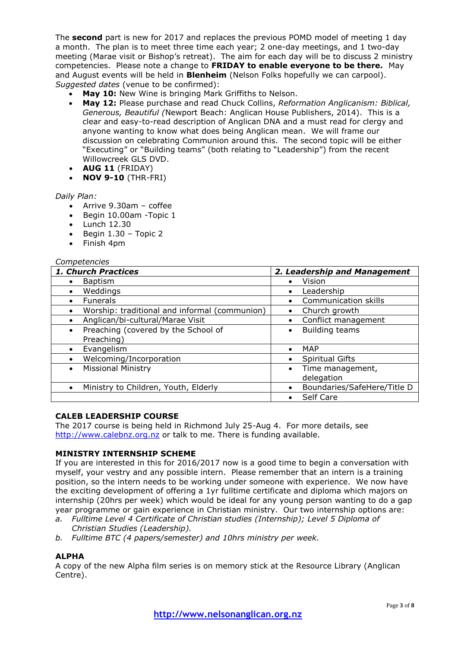The **second** part is new for 2017 and replaces the previous POMD model of meeting 1 day a month. The plan is to meet three time each year; 2 one-day meetings, and 1 two-day meeting (Marae visit or Bishop's retreat). The aim for each day will be to discuss 2 ministry competencies. Please note a change to **FRIDAY to enable everyone to be there.** May and August events will be held in **Blenheim** (Nelson Folks hopefully we can carpool). *Suggested dates* (venue to be confirmed):

- **May 10:** New Wine is bringing Mark Griffiths to Nelson.
- **May 12:** Please purchase and read Chuck Collins, *Reformation Anglicanism: Biblical, Generous, Beautiful (*Newport Beach: Anglican House Publishers, 2014). This is a clear and easy-to-read description of Anglican DNA and a must read for clergy and anyone wanting to know what does being Anglican mean. We will frame our discussion on celebrating Communion around this. The second topic will be either "Executing" or "Building teams" (both relating to "Leadership") from the recent Willowcreek GLS DVD.
- **AUG 11** (FRIDAY)
- **NOV 9-10** (THR-FRI)

### *Daily Plan:*

- $\bullet$  Arrive 9.30am coffee
- Begin 10.00am -Topic 1
- $\bullet$  Lunch 12.30
- $\bullet$  Begin 1.30 Topic 2
- Finish 4pm

### *Competencies*

| 1. Church Practices                                        | 2. Leadership and Management             |  |
|------------------------------------------------------------|------------------------------------------|--|
| Baptism                                                    | Vision<br>$\bullet$                      |  |
| Weddings<br>$\bullet$                                      | Leadership<br>$\bullet$                  |  |
| <b>Funerals</b>                                            | Communication skills                     |  |
| Worship: traditional and informal (communion)<br>$\bullet$ | Church growth<br>$\bullet$               |  |
| Anglican/bi-cultural/Marae Visit                           | Conflict management<br>$\bullet$         |  |
| Preaching (covered by the School of<br>$\bullet$           | <b>Building teams</b><br>$\bullet$       |  |
| Preaching)                                                 |                                          |  |
| Evangelism                                                 | <b>MAP</b><br>$\bullet$                  |  |
| Welcoming/Incorporation                                    | <b>Spiritual Gifts</b><br>$\bullet$      |  |
| <b>Missional Ministry</b><br>$\bullet$                     | Time management,<br>$\bullet$            |  |
|                                                            | delegation                               |  |
| Ministry to Children, Youth, Elderly                       | Boundaries/SafeHere/Title D<br>$\bullet$ |  |
|                                                            | Self Care                                |  |

### **CALEB LEADERSHIP COURSE**

The 2017 course is being held in Richmond July 25-Aug 4. For more details, see [http://www.calebnz.org.nz](http://www.calebnz.org.nz/) or talk to me. There is funding available.

### **MINISTRY INTERNSHIP SCHEME**

If you are interested in this for 2016/2017 now is a good time to begin a conversation with myself, your vestry and any possible intern. Please remember that an intern is a training position, so the intern needs to be working under someone with experience. We now have the exciting development of offering a 1yr fulltime certificate and diploma which majors on internship (20hrs per week) which would be ideal for any young person wanting to do a gap year programme or gain experience in Christian ministry. Our two internship options are:

- *a. Fulltime Level 4 Certificate of Christian studies (Internship); Level 5 Diploma of Christian Studies (Leadership).*
- *b. Fulltime BTC (4 papers/semester) and 10hrs ministry per week.*

### **ALPHA**

A copy of the new Alpha film series is on memory stick at the Resource Library (Anglican Centre).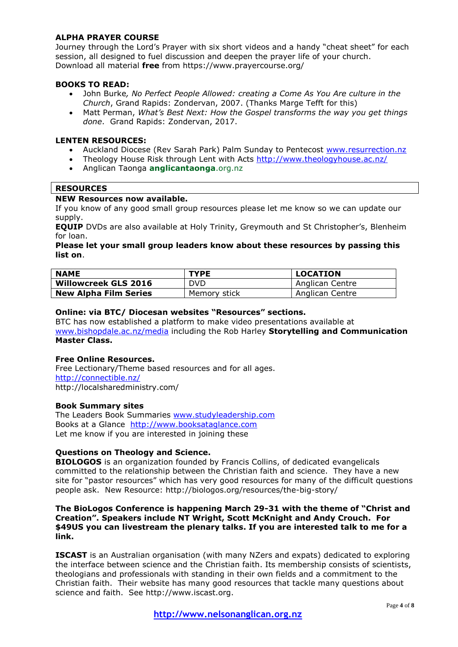### **ALPHA PRAYER COURSE**

Journey through the Lord's Prayer with six short videos and a handy "cheat sheet" for each session, all designed to fuel discussion and deepen the prayer life of your church. Download all material **free** from https://www.prayercourse.org/

### **BOOKS TO READ:**

- John Burke*, No Perfect People Allowed: creating a Come As You Are culture in the Church*, Grand Rapids: Zondervan, 2007. (Thanks Marge Tefft for this)
- Matt Perman, *What's Best Next: How the Gospel transforms the way you get things done*. Grand Rapids: Zondervan, 2017.

### **LENTEN RESOURCES:**

- Auckland Diocese (Rev Sarah Park) Palm Sunday to Pentecost [www.resurrection.nz](http://www.resurrection.nz/)
- Theology House Risk through Lent with Acts<http://www.theologyhouse.ac.nz/>
- Anglican Taonga **anglicantaonga**.org.nz

### **RESOURCES**

### **NEW Resources now available.**

If you know of any good small group resources please let me know so we can update our supply.

**EQUIP** DVDs are also available at Holy Trinity, Greymouth and St Christopher's, Blenheim for loan.

#### **Please let your small group leaders know about these resources by passing this list on**.

| <b>NAME</b>                  | <b>TYPE</b>  | <b>LOCATION</b> |
|------------------------------|--------------|-----------------|
| <b>Willowcreek GLS 2016</b>  | <b>DVD</b>   | Anglican Centre |
| <b>New Alpha Film Series</b> | Memory stick | Anglican Centre |

#### **Online: via BTC/ Diocesan websites "Resources" sections.**

BTC has now established a platform to make video presentations available at [www.bishopdale.ac.nz/media](http://www.bishopdale.ac.nz/media) including the Rob Harley **Storytelling and Communication Master Class.**

### **Free Online Resources.**

Free Lectionary/Theme based resources and for all ages. <http://connectible.nz/> http://localsharedministry.com/

### **Book Summary sites**

The Leaders Book Summaries [www.studyleadership.com](http://www.studyleadership.com/) Books at a Glance [http://www.booksataglance.com](http://www.booksataglance.com/) Let me know if you are interested in joining these

### **Questions on Theology and Science.**

**BIOLOGOS** is an organization founded by Francis Collins, of dedicated evangelicals committed to the relationship between the Christian faith and science. They have a new site for "pastor resources" which has very good resources for many of the difficult questions people ask. New Resource: http://biologos.org/resources/the-big-story/

#### **The BioLogos Conference is happening March 29-31 with the theme of "Christ and Creation". Speakers include NT Wright, Scott McKnight and Andy Crouch. For \$49US you can livestream the plenary talks. If you are interested talk to me for a link.**

**ISCAST** is an Australian organisation (with many NZers and expats) dedicated to exploring the interface between science and the Christian faith. Its membership consists of scientists, theologians and professionals with standing in their own fields and a commitment to the Christian faith. Their website has many good resources that tackle many questions about science and faith. See http://www.iscast.org.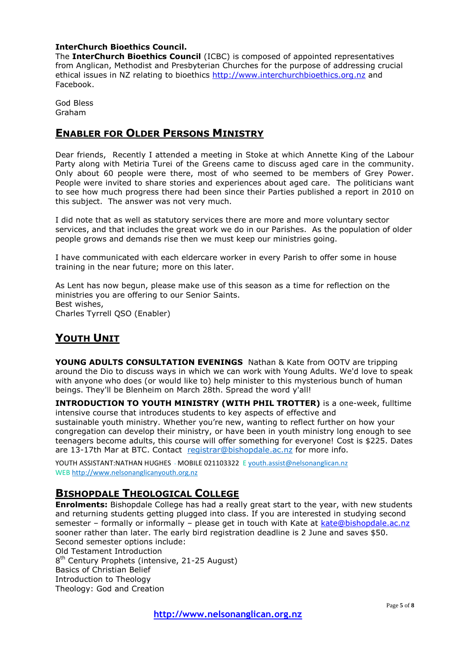### **InterChurch Bioethics Council.**

The **InterChurch Bioethics Council** (ICBC) is composed of appointed representatives from Anglican, Methodist and Presbyterian Churches for the purpose of addressing crucial ethical issues in NZ relating to bioethics [http://www.interchurchbioethics.org.nz](http://www.interchurchbioethics.org.nz/) and Facebook.

God Bless Graham

### **ENABLER FOR OLDER PERSONS MINISTRY**

Dear friends, Recently I attended a meeting in Stoke at which Annette King of the Labour Party along with Metiria Turei of the Greens came to discuss aged care in the community. Only about 60 people were there, most of who seemed to be members of Grey Power. People were invited to share stories and experiences about aged care. The politicians want to see how much progress there had been since their Parties published a report in 2010 on this subject. The answer was not very much.

I did note that as well as statutory services there are more and more voluntary sector services, and that includes the great work we do in our Parishes. As the population of older people grows and demands rise then we must keep our ministries going.

I have communicated with each eldercare worker in every Parish to offer some in house training in the near future; more on this later.

As Lent has now begun, please make use of this season as a time for reflection on the ministries you are offering to our Senior Saints. Best wishes, Charles Tyrrell QSO (Enabler)

## **YOUTH UNIT**

**YOUNG ADULTS CONSULTATION EVENINGS** Nathan & Kate from OOTV are tripping around the Dio to discuss ways in which we can work with Young Adults. We'd love to speak with anyone who does (or would like to) help minister to this mysterious bunch of human beings. They'll be Blenheim on March 28th. Spread the word y'all!

**INTRODUCTION TO YOUTH MINISTRY (WITH PHIL TROTTER)** is a one-week, fulltime intensive course that introduces students to key aspects of effective and sustainable youth ministry. Whether you're new, wanting to reflect further on how your congregation can develop their ministry, or have been in youth ministry long enough to see teenagers become adults, this course will offer something for everyone! Cost is \$225. Dates are 13-17th Mar at BTC. Contact [registrar@bishopdale.ac.nz](mailto:registrar@bishopdale.ac.nz) for more info.

YOUTH ASSISTANT:NATHAN HUGHES - MOBILE 021103322 E [youth.assist@nelsonanglican.nz](http://youth.asist@nelsonanglican.nz/) WEB [http://www.nelsonanglicanyouth.org.nz](http://www.nelsonanglicanyouth.org.nz/)

## **BISHOPDALE THEOLOGICAL COLLEGE**

**Enrolments:** Bishopdale College has had a really great start to the year, with new students and returning students getting plugged into class. If you are interested in studying second semester – formally or informally – please get in touch with Kate at [kate@bishopdale.ac.nz](mailto:kate@bishopdale.ac.nz) sooner rather than later. The early bird registration deadline is 2 June and saves \$50. Second semester options include: Old Testament Introduction 8<sup>th</sup> Century Prophets (intensive, 21-25 August) Basics of Christian Belief Introduction to Theology Theology: God and Creation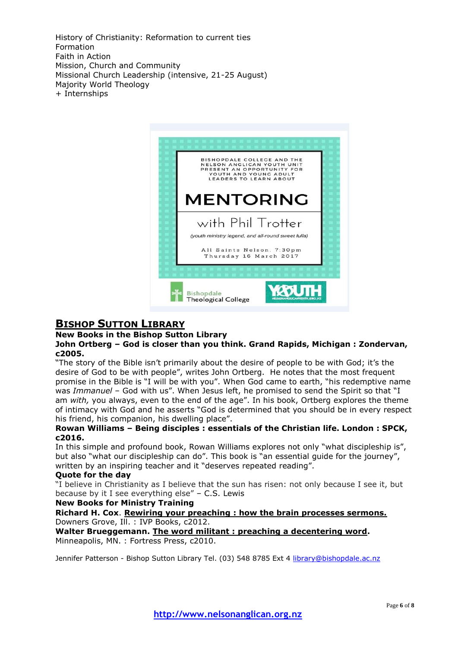History of Christianity: Reformation to current ties Formation Faith in Action Mission, Church and Community Missional Church Leadership (intensive, 21-25 August) Majority World Theology + Internships



### **BISHOP SUTTON LIBRARY**

#### **New Books in the Bishop Sutton Library**

### **John Ortberg – God is closer than you think. Grand Rapids, Michigan : Zondervan, c2005.**

"The story of the Bible isn't primarily about the desire of people to be with God; it's the desire of God to be with people", writes John Ortberg. He notes that the most frequent promise in the Bible is "I will be with you". When God came to earth, "his redemptive name was *Immanuel* – God with us". When Jesus left, he promised to send the Spirit so that "I am *with,* you always, even to the end of the age". In his book, Ortberg explores the theme of intimacy with God and he asserts "God is determined that you should be in every respect his friend, his companion, his dwelling place".

### **Rowan Williams – Being disciples : essentials of the Christian life. London : SPCK, c2016.**

In this simple and profound book, Rowan Williams explores not only "what discipleship is", but also "what our discipleship can do". This book is "an essential guide for the journey", written by an inspiring teacher and it "deserves repeated reading".

### **Quote for the day**

"I believe in Christianity as I believe that the sun has risen: not only because I see it, but because by it I see everything else" – C.S. Lewis

### **New Books for Ministry Training**

### **Richard H. Cox**. **Rewiring your preaching : how the brain processes sermons.**  Downers Grove, Ill. : IVP Books, c2012.

**Walter Brueggemann. The word militant : preaching a decentering word.**  Minneapolis, MN. : Fortress Press, c2010.

Jennifer Patterson - Bishop Sutton Library Tel. (03) 548 8785 Ext 4 [library@bishopdale.ac.nz](mailto:library@bishopdale.ac.nz)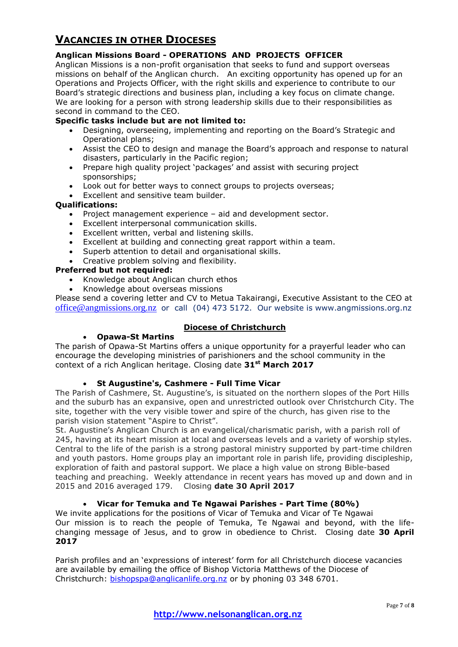## **VACANCIES IN OTHER DIOCESES**

### **Anglican Missions Board - OPERATIONS AND PROJECTS OFFICER**

Anglican Missions is a non-profit organisation that seeks to fund and support overseas missions on behalf of the Anglican church. An exciting opportunity has opened up for an Operations and Projects Officer, with the right skills and experience to contribute to our Board's strategic directions and business plan, including a key focus on climate change. We are looking for a person with strong leadership skills due to their responsibilities as second in command to the CEO.

### **Specific tasks include but are not limited to:**

- Designing, overseeing, implementing and reporting on the Board's Strategic and Operational plans;
- Assist the CEO to design and manage the Board's approach and response to natural disasters, particularly in the Pacific region;
- Prepare high quality project 'packages' and assist with securing project sponsorships;
- Look out for better ways to connect groups to projects overseas;
- **Excellent and sensitive team builder.**

### **Qualifications:**

- Project management experience aid and development sector.
- Excellent interpersonal communication skills.
- Excellent written, verbal and listening skills.
- Excellent at building and connecting great rapport within a team.
- Superb attention to detail and organisational skills.
- Creative problem solving and flexibility.

### **Preferred but not required:**

- Knowledge about Anglican church ethos
- Knowledge about overseas missions

Please send a covering letter and CV to Metua Takairangi, Executive Assistant to the CEO at [office@angmissions.org.nz](mailto:office@angmissions.org.nz) or call (04) 473 5172. Our website is www.angmissions.org.nz

### **Diocese of Christchurch**

### **Opawa-St Martins**

The parish of Opawa-St Martins offers a unique opportunity for a prayerful leader who can encourage the developing ministries of parishioners and the school community in the context of a rich Anglican heritage. Closing date **31st March 2017**

### **St Augustine's, Cashmere - Full Time Vicar**

The Parish of Cashmere, St. Augustine's, is situated on the northern slopes of the Port Hills and the suburb has an expansive, open and unrestricted outlook over Christchurch City. The site, together with the very visible tower and spire of the church, has given rise to the parish vision statement "Aspire to Christ".

St. Augustine's Anglican Church is an evangelical/charismatic parish, with a parish roll of 245, having at its heart mission at local and overseas levels and a variety of worship styles. Central to the life of the parish is a strong pastoral ministry supported by part-time children and youth pastors. Home groups play an important role in parish life, providing discipleship, exploration of faith and pastoral support. We place a high value on strong Bible-based teaching and preaching. Weekly attendance in recent years has moved up and down and in 2015 and 2016 averaged 179. Closing **date 30 April 2017**

### **Vicar for Temuka and Te Ngawai Parishes - Part Time (80%)**

We invite applications for the positions of Vicar of Temuka and Vicar of Te Ngawai Our mission is to reach the people of Temuka, Te Ngawai and beyond, with the lifechanging message of Jesus, and to grow in obedience to Christ. Closing date **30 April 2017**

Parish profiles and an 'expressions of interest' form for all Christchurch diocese vacancies are available by emailing the office of Bishop Victoria Matthews of the Diocese of Christchurch: [bishopspa@anglicanlife.org.nz](mailto:bishopspa@anglicanlife.org.nz) or by phoning 03 348 6701.